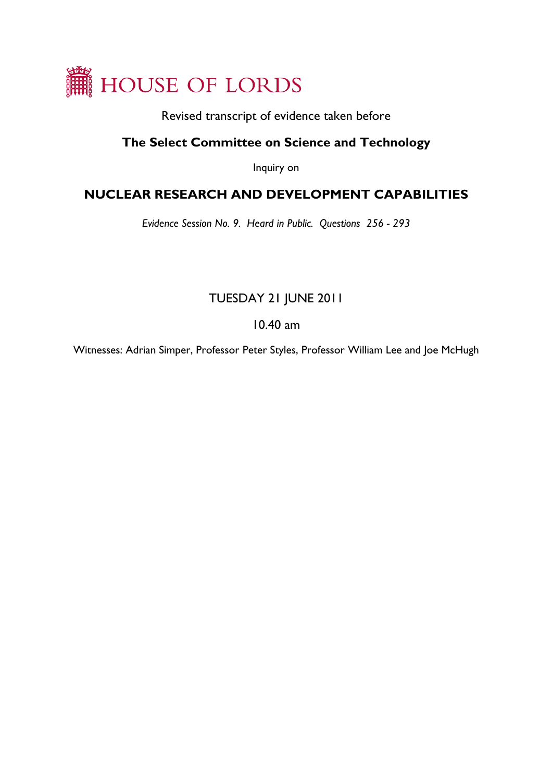

Revised transcript of evidence taken before

## **The Select Committee on Science and Technology**

Inquiry on

# **NUCLEAR RESEARCH AND DEVELOPMENT CAPABILITIES**

*Evidence Session No. 9. Heard in Public. Questions 256 - 293* 

# TUESDAY 21 JUNE 2011

### 10.40 am

Witnesses: Adrian Simper, Professor Peter Styles, Professor William Lee and Joe McHugh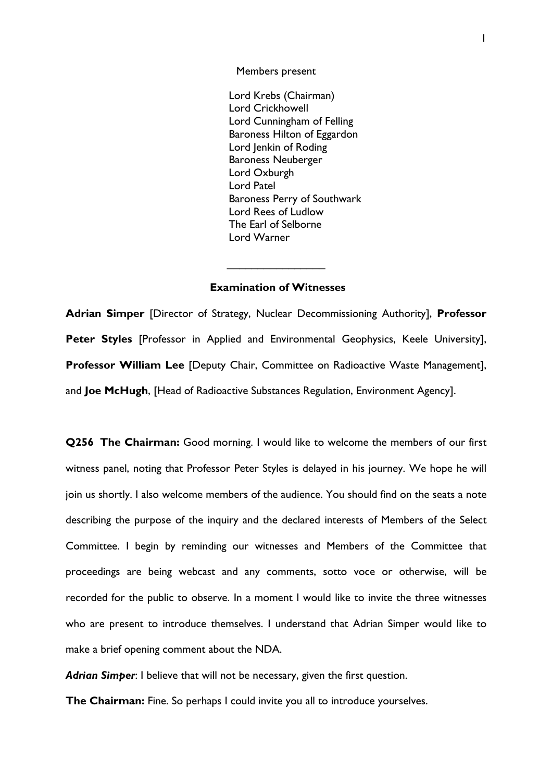Members present

Lord Krebs (Chairman) Lord Crickhowell Lord Cunningham of Felling Baroness Hilton of Eggardon Lord Jenkin of Roding Baroness Neuberger Lord Oxburgh Lord Patel Baroness Perry of Southwark Lord Rees of Ludlow The Earl of Selborne Lord Warner

### **Examination of Witnesses**

 $\overline{\phantom{a}}$  . The set of the set of the set of the set of the set of the set of the set of the set of the set of the set of the set of the set of the set of the set of the set of the set of the set of the set of the set o

**Adrian Simper** [Director of Strategy, Nuclear Decommissioning Authority], **Professor**  Peter Styles [Professor in Applied and Environmental Geophysics, Keele University], **Professor William Lee** [Deputy Chair, Committee on Radioactive Waste Management], and **Joe McHugh**, [Head of Radioactive Substances Regulation, Environment Agency].

**Q256 The Chairman:** Good morning. I would like to welcome the members of our first witness panel, noting that Professor Peter Styles is delayed in his journey. We hope he will join us shortly. I also welcome members of the audience. You should find on the seats a note describing the purpose of the inquiry and the declared interests of Members of the Select Committee. I begin by reminding our witnesses and Members of the Committee that proceedings are being webcast and any comments, sotto voce or otherwise, will be recorded for the public to observe. In a moment I would like to invite the three witnesses who are present to introduce themselves. I understand that Adrian Simper would like to make a brief opening comment about the NDA.

*Adrian Simper*: I believe that will not be necessary, given the first question.

**The Chairman:** Fine. So perhaps I could invite you all to introduce yourselves.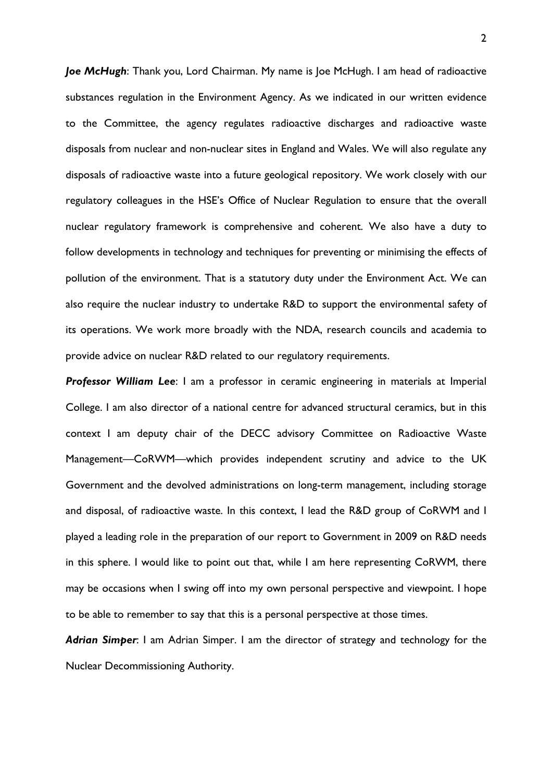*Joe McHugh*: Thank you, Lord Chairman. My name is Joe McHugh. I am head of radioactive substances regulation in the Environment Agency. As we indicated in our written evidence to the Committee, the agency regulates radioactive discharges and radioactive waste disposals from nuclear and non-nuclear sites in England and Wales. We will also regulate any disposals of radioactive waste into a future geological repository. We work closely with our regulatory colleagues in the HSE's Office of Nuclear Regulation to ensure that the overall nuclear regulatory framework is comprehensive and coherent. We also have a duty to follow developments in technology and techniques for preventing or minimising the effects of pollution of the environment. That is a statutory duty under the Environment Act. We can also require the nuclear industry to undertake R&D to support the environmental safety of its operations. We work more broadly with the NDA, research councils and academia to provide advice on nuclear R&D related to our regulatory requirements.

*Professor William Lee*: I am a professor in ceramic engineering in materials at Imperial College. I am also director of a national centre for advanced structural ceramics, but in this context I am deputy chair of the DECC advisory Committee on Radioactive Waste Management—CoRWM—which provides independent scrutiny and advice to the UK Government and the devolved administrations on long-term management, including storage and disposal, of radioactive waste. In this context, I lead the R&D group of CoRWM and I played a leading role in the preparation of our report to Government in 2009 on R&D needs in this sphere. I would like to point out that, while I am here representing CoRWM, there may be occasions when I swing off into my own personal perspective and viewpoint. I hope to be able to remember to say that this is a personal perspective at those times.

*Adrian Simper*: I am Adrian Simper. I am the director of strategy and technology for the Nuclear Decommissioning Authority.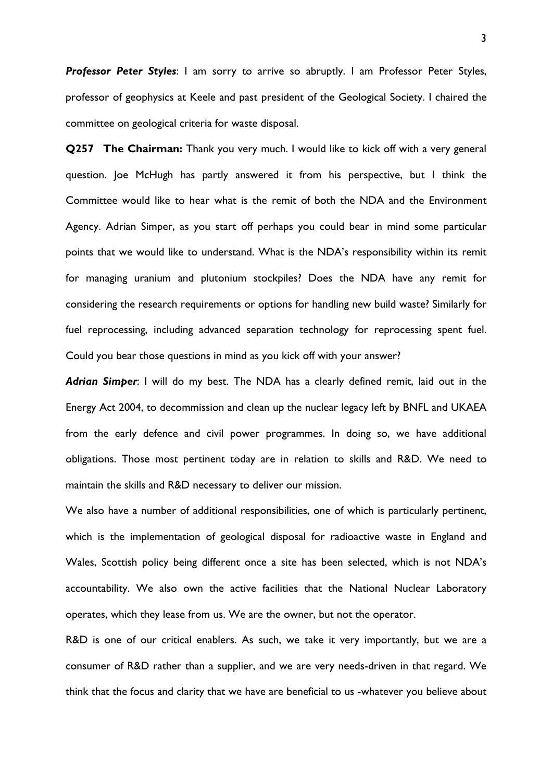*Professor Peter Styles*: I am sorry to arrive so abruptly. I am Professor Peter Styles, professor of geophysics at Keele and past president of the Geological Society. I chaired the committee on geological criteria for waste disposal.

**Q257 The Chairman:** Thank you very much. I would like to kick off with a very general question. Joe McHugh has partly answered it from his perspective, but I think the Committee would like to hear what is the remit of both the NDA and the Environment Agency. Adrian Simper, as you start off perhaps you could bear in mind some particular points that we would like to understand. What is the NDA's responsibility within its remit for managing uranium and plutonium stockpiles? Does the NDA have any remit for considering the research requirements or options for handling new build waste? Similarly for fuel reprocessing, including advanced separation technology for reprocessing spent fuel. Could you bear those questions in mind as you kick off with your answer?

*Adrian Simper*: I will do my best. The NDA has a clearly defined remit, laid out in the Energy Act 2004, to decommission and clean up the nuclear legacy left by BNFL and UKAEA from the early defence and civil power programmes. In doing so, we have additional obligations. Those most pertinent today are in relation to skills and R&D. We need to maintain the skills and R&D necessary to deliver our mission.

We also have a number of additional responsibilities, one of which is particularly pertinent, which is the implementation of geological disposal for radioactive waste in England and Wales, Scottish policy being different once a site has been selected, which is not NDA's accountability. We also own the active facilities that the National Nuclear Laboratory operates, which they lease from us. We are the owner, but not the operator.

R&D is one of our critical enablers. As such, we take it very importantly, but we are a consumer of R&D rather than a supplier, and we are very needs-driven in that regard. We think that the focus and clarity that we have are beneficial to us -whatever you believe about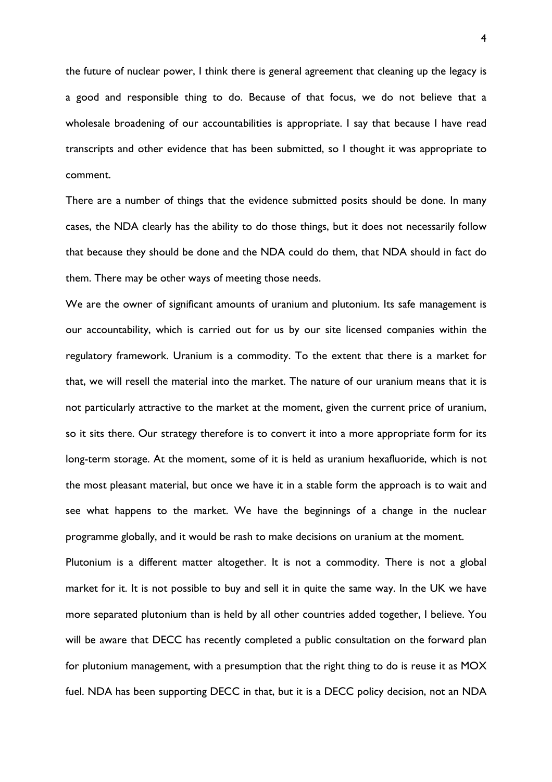the future of nuclear power, I think there is general agreement that cleaning up the legacy is a good and responsible thing to do. Because of that focus, we do not believe that a wholesale broadening of our accountabilities is appropriate. I say that because I have read transcripts and other evidence that has been submitted, so I thought it was appropriate to comment.

There are a number of things that the evidence submitted posits should be done. In many cases, the NDA clearly has the ability to do those things, but it does not necessarily follow that because they should be done and the NDA could do them, that NDA should in fact do them. There may be other ways of meeting those needs.

We are the owner of significant amounts of uranium and plutonium. Its safe management is our accountability, which is carried out for us by our site licensed companies within the regulatory framework. Uranium is a commodity. To the extent that there is a market for that, we will resell the material into the market. The nature of our uranium means that it is not particularly attractive to the market at the moment, given the current price of uranium, so it sits there. Our strategy therefore is to convert it into a more appropriate form for its long-term storage. At the moment, some of it is held as uranium hexafluoride, which is not the most pleasant material, but once we have it in a stable form the approach is to wait and see what happens to the market. We have the beginnings of a change in the nuclear programme globally, and it would be rash to make decisions on uranium at the moment.

Plutonium is a different matter altogether. It is not a commodity. There is not a global market for it. It is not possible to buy and sell it in quite the same way. In the UK we have more separated plutonium than is held by all other countries added together, I believe. You will be aware that DECC has recently completed a public consultation on the forward plan for plutonium management, with a presumption that the right thing to do is reuse it as MOX fuel. NDA has been supporting DECC in that, but it is a DECC policy decision, not an NDA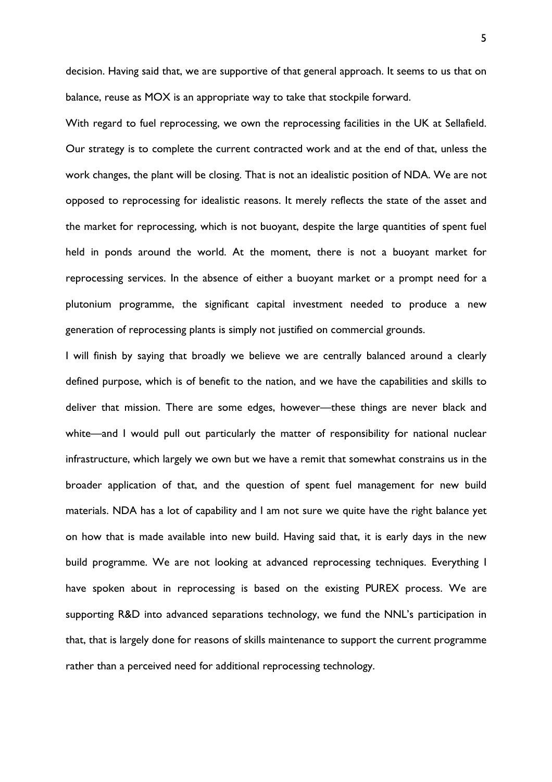decision. Having said that, we are supportive of that general approach. It seems to us that on balance, reuse as MOX is an appropriate way to take that stockpile forward.

With regard to fuel reprocessing, we own the reprocessing facilities in the UK at Sellafield. Our strategy is to complete the current contracted work and at the end of that, unless the work changes, the plant will be closing. That is not an idealistic position of NDA. We are not opposed to reprocessing for idealistic reasons. It merely reflects the state of the asset and the market for reprocessing, which is not buoyant, despite the large quantities of spent fuel held in ponds around the world. At the moment, there is not a buoyant market for reprocessing services. In the absence of either a buoyant market or a prompt need for a plutonium programme, the significant capital investment needed to produce a new generation of reprocessing plants is simply not justified on commercial grounds.

I will finish by saying that broadly we believe we are centrally balanced around a clearly defined purpose, which is of benefit to the nation, and we have the capabilities and skills to deliver that mission. There are some edges, however—these things are never black and white—and I would pull out particularly the matter of responsibility for national nuclear infrastructure, which largely we own but we have a remit that somewhat constrains us in the broader application of that, and the question of spent fuel management for new build materials. NDA has a lot of capability and I am not sure we quite have the right balance yet on how that is made available into new build. Having said that, it is early days in the new build programme. We are not looking at advanced reprocessing techniques. Everything I have spoken about in reprocessing is based on the existing PUREX process. We are supporting R&D into advanced separations technology, we fund the NNL's participation in that, that is largely done for reasons of skills maintenance to support the current programme rather than a perceived need for additional reprocessing technology.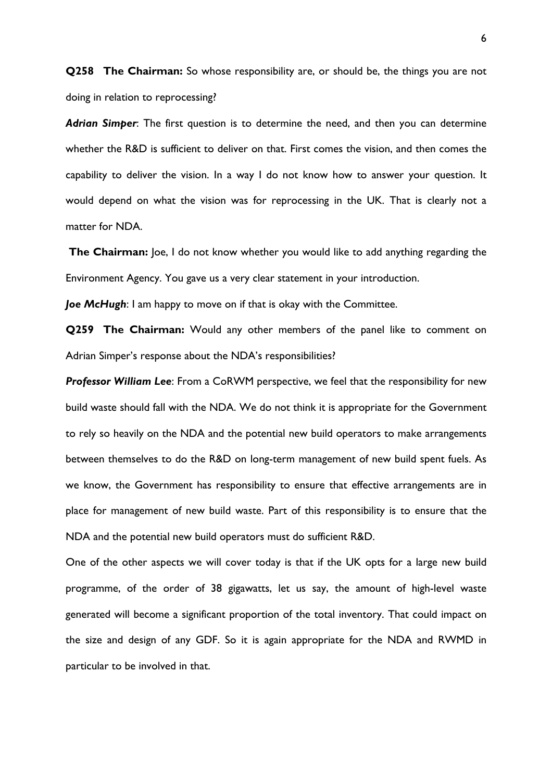**Q258 The Chairman:** So whose responsibility are, or should be, the things you are not doing in relation to reprocessing?

*Adrian Simper*: The first question is to determine the need, and then you can determine whether the R&D is sufficient to deliver on that. First comes the vision, and then comes the capability to deliver the vision. In a way I do not know how to answer your question. It would depend on what the vision was for reprocessing in the UK. That is clearly not a matter for NDA.

**The Chairman:** Joe, I do not know whether you would like to add anything regarding the Environment Agency. You gave us a very clear statement in your introduction.

*Joe McHugh*: I am happy to move on if that is okay with the Committee.

**Q259 The Chairman:** Would any other members of the panel like to comment on Adrian Simper's response about the NDA's responsibilities?

*Professor William Lee*: From a CoRWM perspective, we feel that the responsibility for new build waste should fall with the NDA. We do not think it is appropriate for the Government to rely so heavily on the NDA and the potential new build operators to make arrangements between themselves to do the R&D on long-term management of new build spent fuels. As we know, the Government has responsibility to ensure that effective arrangements are in place for management of new build waste. Part of this responsibility is to ensure that the NDA and the potential new build operators must do sufficient R&D.

One of the other aspects we will cover today is that if the UK opts for a large new build programme, of the order of 38 gigawatts, let us say, the amount of high-level waste generated will become a significant proportion of the total inventory. That could impact on the size and design of any GDF. So it is again appropriate for the NDA and RWMD in particular to be involved in that.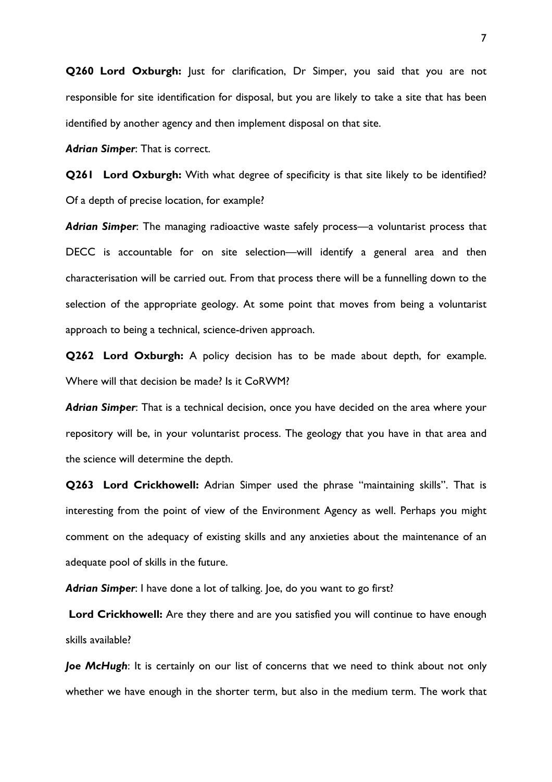**Q260 Lord Oxburgh:** Just for clarification, Dr Simper, you said that you are not responsible for site identification for disposal, but you are likely to take a site that has been identified by another agency and then implement disposal on that site.

*Adrian Simper*: That is correct.

**Q261 Lord Oxburgh:** With what degree of specificity is that site likely to be identified? Of a depth of precise location, for example?

*Adrian Simper*: The managing radioactive waste safely process—a voluntarist process that DECC is accountable for on site selection—will identify a general area and then characterisation will be carried out. From that process there will be a funnelling down to the selection of the appropriate geology. At some point that moves from being a voluntarist approach to being a technical, science-driven approach.

**Q262 Lord Oxburgh:** A policy decision has to be made about depth, for example. Where will that decision be made? Is it CoRWM?

*Adrian Simper*: That is a technical decision, once you have decided on the area where your repository will be, in your voluntarist process. The geology that you have in that area and the science will determine the depth.

**Q263 Lord Crickhowell:** Adrian Simper used the phrase "maintaining skills". That is interesting from the point of view of the Environment Agency as well. Perhaps you might comment on the adequacy of existing skills and any anxieties about the maintenance of an adequate pool of skills in the future.

*Adrian Simper*: I have done a lot of talking. Joe, do you want to go first?

Lord Crickhowell: Are they there and are you satisfied you will continue to have enough skills available?

*Joe McHugh*: It is certainly on our list of concerns that we need to think about not only whether we have enough in the shorter term, but also in the medium term. The work that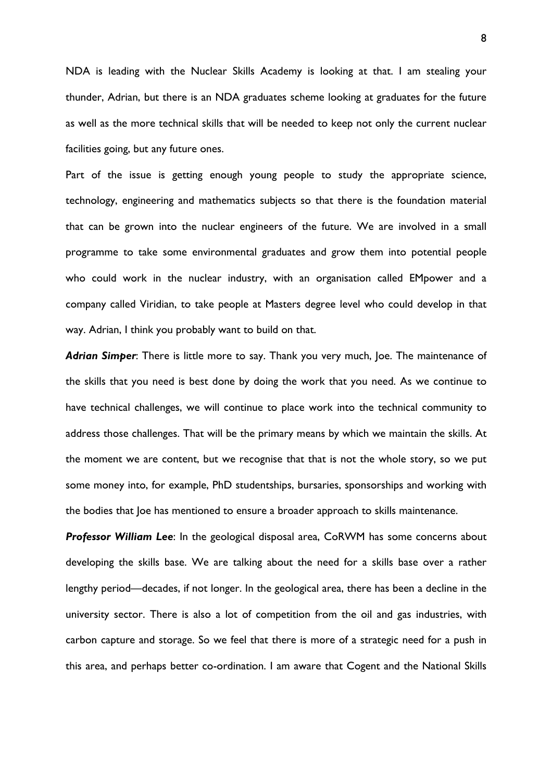NDA is leading with the Nuclear Skills Academy is looking at that. I am stealing your thunder, Adrian, but there is an NDA graduates scheme looking at graduates for the future as well as the more technical skills that will be needed to keep not only the current nuclear facilities going, but any future ones.

Part of the issue is getting enough young people to study the appropriate science, technology, engineering and mathematics subjects so that there is the foundation material that can be grown into the nuclear engineers of the future. We are involved in a small programme to take some environmental graduates and grow them into potential people who could work in the nuclear industry, with an organisation called EMpower and a company called Viridian, to take people at Masters degree level who could develop in that way. Adrian, I think you probably want to build on that.

*Adrian Simper*: There is little more to say. Thank you very much, Joe. The maintenance of the skills that you need is best done by doing the work that you need. As we continue to have technical challenges, we will continue to place work into the technical community to address those challenges. That will be the primary means by which we maintain the skills. At the moment we are content, but we recognise that that is not the whole story, so we put some money into, for example, PhD studentships, bursaries, sponsorships and working with the bodies that Joe has mentioned to ensure a broader approach to skills maintenance.

**Professor William Lee**: In the geological disposal area, CoRWM has some concerns about developing the skills base. We are talking about the need for a skills base over a rather lengthy period—decades, if not longer. In the geological area, there has been a decline in the university sector. There is also a lot of competition from the oil and gas industries, with carbon capture and storage. So we feel that there is more of a strategic need for a push in this area, and perhaps better co-ordination. I am aware that Cogent and the National Skills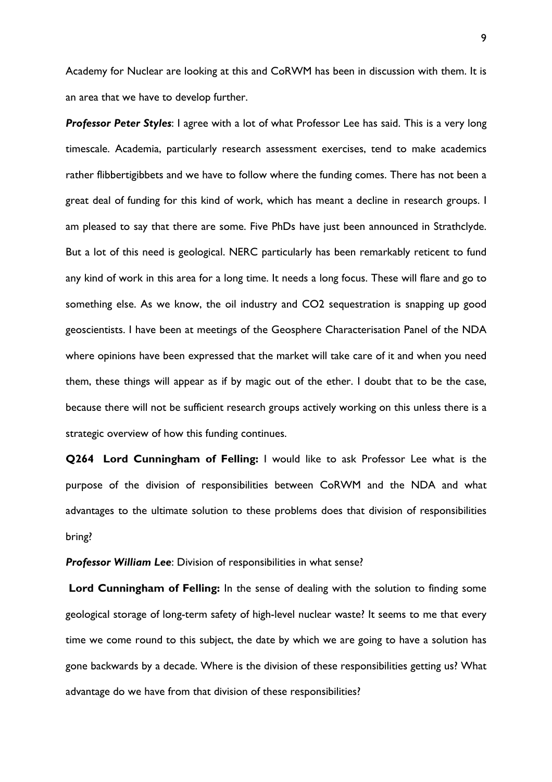Academy for Nuclear are looking at this and CoRWM has been in discussion with them. It is an area that we have to develop further.

*Professor Peter Styles*: I agree with a lot of what Professor Lee has said. This is a very long timescale. Academia, particularly research assessment exercises, tend to make academics rather flibbertigibbets and we have to follow where the funding comes. There has not been a great deal of funding for this kind of work, which has meant a decline in research groups. I am pleased to say that there are some. Five PhDs have just been announced in Strathclyde. But a lot of this need is geological. NERC particularly has been remarkably reticent to fund any kind of work in this area for a long time. It needs a long focus. These will flare and go to something else. As we know, the oil industry and CO2 sequestration is snapping up good geoscientists. I have been at meetings of the Geosphere Characterisation Panel of the NDA where opinions have been expressed that the market will take care of it and when you need them, these things will appear as if by magic out of the ether. I doubt that to be the case, because there will not be sufficient research groups actively working on this unless there is a strategic overview of how this funding continues.

**Q264 Lord Cunningham of Felling:** I would like to ask Professor Lee what is the purpose of the division of responsibilities between CoRWM and the NDA and what advantages to the ultimate solution to these problems does that division of responsibilities bring?

**Professor William Lee:** Division of responsibilities in what sense?

**Lord Cunningham of Felling:** In the sense of dealing with the solution to finding some geological storage of long-term safety of high-level nuclear waste? It seems to me that every time we come round to this subject, the date by which we are going to have a solution has gone backwards by a decade. Where is the division of these responsibilities getting us? What advantage do we have from that division of these responsibilities?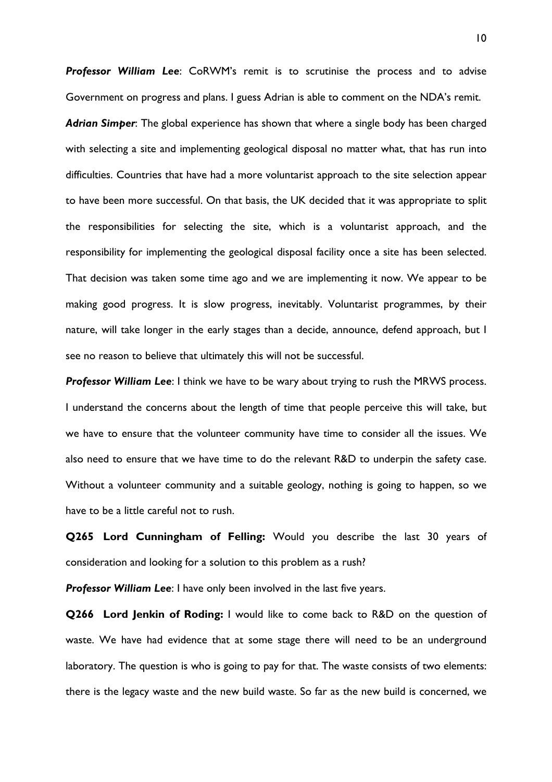*Professor William Lee*: CoRWM's remit is to scrutinise the process and to advise Government on progress and plans. I guess Adrian is able to comment on the NDA's remit. *Adrian Simper*: The global experience has shown that where a single body has been charged with selecting a site and implementing geological disposal no matter what, that has run into difficulties. Countries that have had a more voluntarist approach to the site selection appear to have been more successful. On that basis, the UK decided that it was appropriate to split the responsibilities for selecting the site, which is a voluntarist approach, and the responsibility for implementing the geological disposal facility once a site has been selected. That decision was taken some time ago and we are implementing it now. We appear to be making good progress. It is slow progress, inevitably. Voluntarist programmes, by their nature, will take longer in the early stages than a decide, announce, defend approach, but I see no reason to believe that ultimately this will not be successful.

**Professor William Lee**: I think we have to be wary about trying to rush the MRWS process. I understand the concerns about the length of time that people perceive this will take, but we have to ensure that the volunteer community have time to consider all the issues. We also need to ensure that we have time to do the relevant R&D to underpin the safety case. Without a volunteer community and a suitable geology, nothing is going to happen, so we have to be a little careful not to rush.

**Q265 Lord Cunningham of Felling:** Would you describe the last 30 years of consideration and looking for a solution to this problem as a rush?

*Professor William Lee*: I have only been involved in the last five years.

**Q266 Lord Jenkin of Roding:** I would like to come back to R&D on the question of waste. We have had evidence that at some stage there will need to be an underground laboratory. The question is who is going to pay for that. The waste consists of two elements: there is the legacy waste and the new build waste. So far as the new build is concerned, we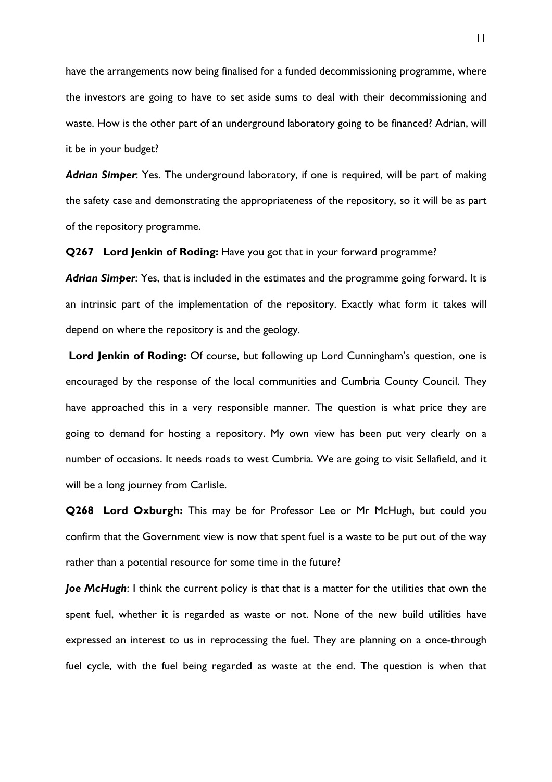have the arrangements now being finalised for a funded decommissioning programme, where the investors are going to have to set aside sums to deal with their decommissioning and waste. How is the other part of an underground laboratory going to be financed? Adrian, will it be in your budget?

*Adrian Simper*: Yes. The underground laboratory, if one is required, will be part of making the safety case and demonstrating the appropriateness of the repository, so it will be as part of the repository programme.

**Q267 Lord Jenkin of Roding:** Have you got that in your forward programme?

*Adrian Simper*: Yes, that is included in the estimates and the programme going forward. It is an intrinsic part of the implementation of the repository. Exactly what form it takes will depend on where the repository is and the geology.

Lord Jenkin of Roding: Of course, but following up Lord Cunningham's question, one is encouraged by the response of the local communities and Cumbria County Council. They have approached this in a very responsible manner. The question is what price they are going to demand for hosting a repository. My own view has been put very clearly on a number of occasions. It needs roads to west Cumbria. We are going to visit Sellafield, and it will be a long journey from Carlisle.

**Q268 Lord Oxburgh:** This may be for Professor Lee or Mr McHugh, but could you confirm that the Government view is now that spent fuel is a waste to be put out of the way rather than a potential resource for some time in the future?

*Joe McHugh*: I think the current policy is that that is a matter for the utilities that own the spent fuel, whether it is regarded as waste or not. None of the new build utilities have expressed an interest to us in reprocessing the fuel. They are planning on a once-through fuel cycle, with the fuel being regarded as waste at the end. The question is when that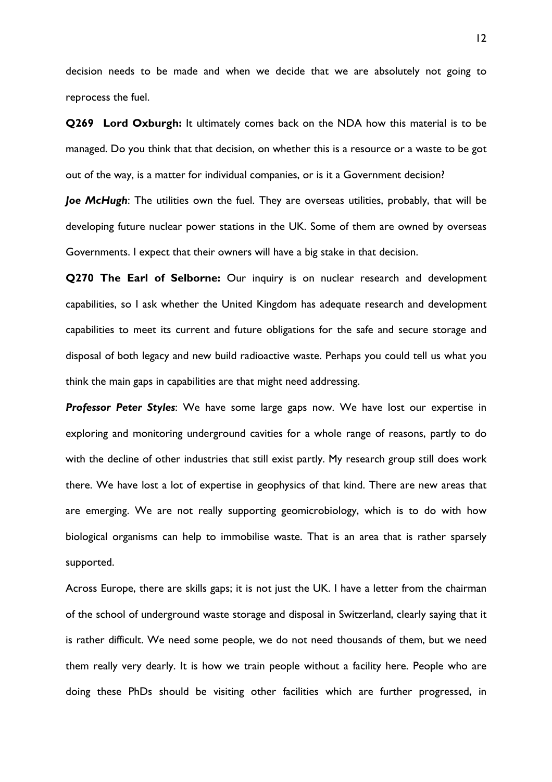decision needs to be made and when we decide that we are absolutely not going to reprocess the fuel.

**Q269 Lord Oxburgh:** It ultimately comes back on the NDA how this material is to be managed. Do you think that that decision, on whether this is a resource or a waste to be got out of the way, is a matter for individual companies, or is it a Government decision?

*Joe McHugh*: The utilities own the fuel. They are overseas utilities, probably, that will be developing future nuclear power stations in the UK. Some of them are owned by overseas Governments. I expect that their owners will have a big stake in that decision.

**Q270 The Earl of Selborne:** Our inquiry is on nuclear research and development capabilities, so I ask whether the United Kingdom has adequate research and development capabilities to meet its current and future obligations for the safe and secure storage and disposal of both legacy and new build radioactive waste. Perhaps you could tell us what you think the main gaps in capabilities are that might need addressing.

*Professor Peter Styles*: We have some large gaps now. We have lost our expertise in exploring and monitoring underground cavities for a whole range of reasons, partly to do with the decline of other industries that still exist partly. My research group still does work there. We have lost a lot of expertise in geophysics of that kind. There are new areas that are emerging. We are not really supporting geomicrobiology, which is to do with how biological organisms can help to immobilise waste. That is an area that is rather sparsely supported.

Across Europe, there are skills gaps; it is not just the UK. I have a letter from the chairman of the school of underground waste storage and disposal in Switzerland, clearly saying that it is rather difficult. We need some people, we do not need thousands of them, but we need them really very dearly. It is how we train people without a facility here. People who are doing these PhDs should be visiting other facilities which are further progressed, in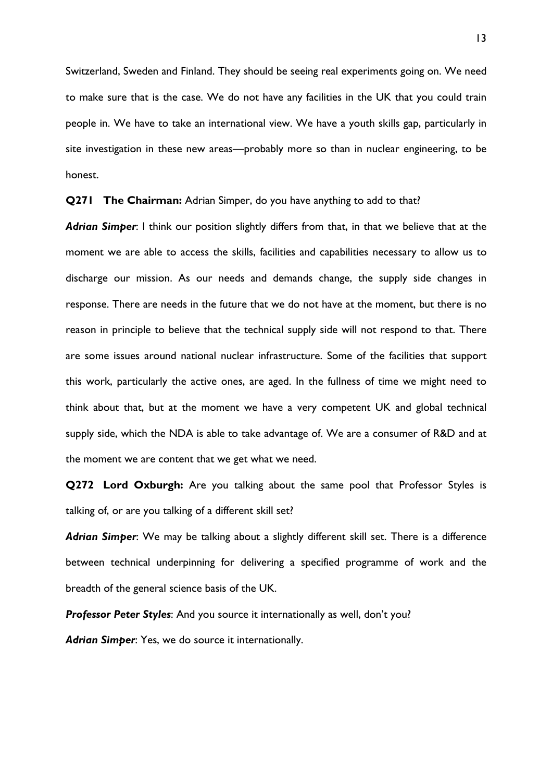Switzerland, Sweden and Finland. They should be seeing real experiments going on. We need to make sure that is the case. We do not have any facilities in the UK that you could train people in. We have to take an international view. We have a youth skills gap, particularly in site investigation in these new areas—probably more so than in nuclear engineering, to be honest.

**Q271 The Chairman:** Adrian Simper, do you have anything to add to that?

*Adrian Simper*: I think our position slightly differs from that, in that we believe that at the moment we are able to access the skills, facilities and capabilities necessary to allow us to discharge our mission. As our needs and demands change, the supply side changes in response. There are needs in the future that we do not have at the moment, but there is no reason in principle to believe that the technical supply side will not respond to that. There are some issues around national nuclear infrastructure. Some of the facilities that support this work, particularly the active ones, are aged. In the fullness of time we might need to think about that, but at the moment we have a very competent UK and global technical supply side, which the NDA is able to take advantage of. We are a consumer of R&D and at the moment we are content that we get what we need.

**Q272 Lord Oxburgh:** Are you talking about the same pool that Professor Styles is talking of, or are you talking of a different skill set?

*Adrian Simper*: We may be talking about a slightly different skill set. There is a difference between technical underpinning for delivering a specified programme of work and the breadth of the general science basis of the UK.

*Professor Peter Styles*: And you source it internationally as well, don't you?

*Adrian Simper*: Yes, we do source it internationally.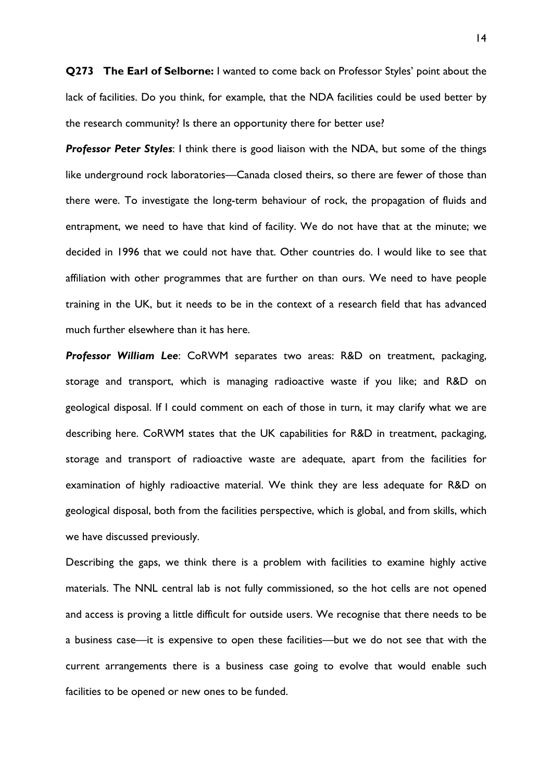**Q273 The Earl of Selborne:** I wanted to come back on Professor Styles' point about the lack of facilities. Do you think, for example, that the NDA facilities could be used better by the research community? Is there an opportunity there for better use?

**Professor Peter Styles:** I think there is good liaison with the NDA, but some of the things like underground rock laboratories—Canada closed theirs, so there are fewer of those than there were. To investigate the long-term behaviour of rock, the propagation of fluids and entrapment, we need to have that kind of facility. We do not have that at the minute; we decided in 1996 that we could not have that. Other countries do. I would like to see that affiliation with other programmes that are further on than ours. We need to have people training in the UK, but it needs to be in the context of a research field that has advanced much further elsewhere than it has here.

*Professor William Lee*: CoRWM separates two areas: R&D on treatment, packaging, storage and transport, which is managing radioactive waste if you like; and R&D on geological disposal. If I could comment on each of those in turn, it may clarify what we are describing here. CoRWM states that the UK capabilities for R&D in treatment, packaging, storage and transport of radioactive waste are adequate, apart from the facilities for examination of highly radioactive material. We think they are less adequate for R&D on geological disposal, both from the facilities perspective, which is global, and from skills, which we have discussed previously.

Describing the gaps, we think there is a problem with facilities to examine highly active materials. The NNL central lab is not fully commissioned, so the hot cells are not opened and access is proving a little difficult for outside users. We recognise that there needs to be a business case—it is expensive to open these facilities—but we do not see that with the current arrangements there is a business case going to evolve that would enable such facilities to be opened or new ones to be funded.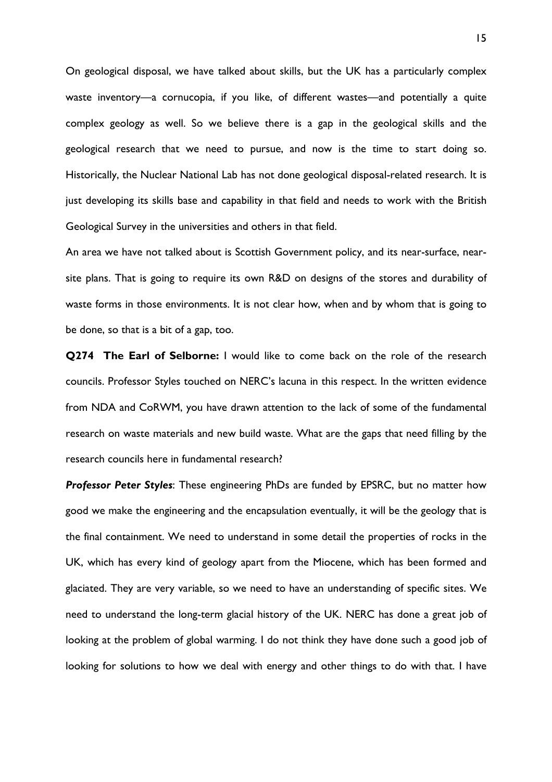On geological disposal, we have talked about skills, but the UK has a particularly complex waste inventory—a cornucopia, if you like, of different wastes—and potentially a quite complex geology as well. So we believe there is a gap in the geological skills and the geological research that we need to pursue, and now is the time to start doing so. Historically, the Nuclear National Lab has not done geological disposal-related research. It is just developing its skills base and capability in that field and needs to work with the British Geological Survey in the universities and others in that field.

An area we have not talked about is Scottish Government policy, and its near-surface, nearsite plans. That is going to require its own R&D on designs of the stores and durability of waste forms in those environments. It is not clear how, when and by whom that is going to be done, so that is a bit of a gap, too.

**Q274 The Earl of Selborne:** I would like to come back on the role of the research councils. Professor Styles touched on NERC's lacuna in this respect. In the written evidence from NDA and CoRWM, you have drawn attention to the lack of some of the fundamental research on waste materials and new build waste. What are the gaps that need filling by the research councils here in fundamental research?

*Professor Peter Styles*: These engineering PhDs are funded by EPSRC, but no matter how good we make the engineering and the encapsulation eventually, it will be the geology that is the final containment. We need to understand in some detail the properties of rocks in the UK, which has every kind of geology apart from the Miocene, which has been formed and glaciated. They are very variable, so we need to have an understanding of specific sites. We need to understand the long-term glacial history of the UK. NERC has done a great job of looking at the problem of global warming. I do not think they have done such a good job of looking for solutions to how we deal with energy and other things to do with that. I have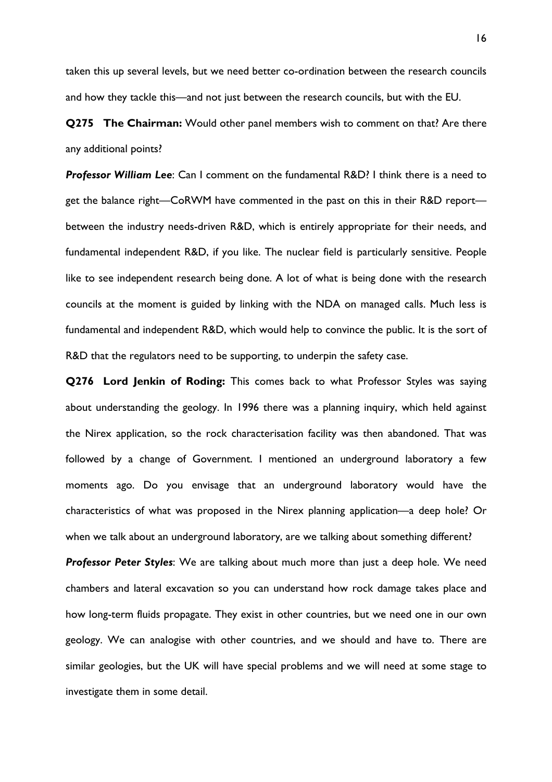taken this up several levels, but we need better co-ordination between the research councils and how they tackle this—and not just between the research councils, but with the EU.

**Q275 The Chairman:** Would other panel members wish to comment on that? Are there any additional points?

*Professor William Lee*: Can I comment on the fundamental R&D? I think there is a need to get the balance right—CoRWM have commented in the past on this in their R&D report between the industry needs-driven R&D, which is entirely appropriate for their needs, and fundamental independent R&D, if you like. The nuclear field is particularly sensitive. People like to see independent research being done. A lot of what is being done with the research councils at the moment is guided by linking with the NDA on managed calls. Much less is fundamental and independent R&D, which would help to convince the public. It is the sort of R&D that the regulators need to be supporting, to underpin the safety case.

**Q276 Lord Jenkin of Roding:** This comes back to what Professor Styles was saying about understanding the geology. In 1996 there was a planning inquiry, which held against the Nirex application, so the rock characterisation facility was then abandoned. That was followed by a change of Government. I mentioned an underground laboratory a few moments ago. Do you envisage that an underground laboratory would have the characteristics of what was proposed in the Nirex planning application—a deep hole? Or when we talk about an underground laboratory, are we talking about something different?

*Professor Peter Styles*: We are talking about much more than just a deep hole. We need chambers and lateral excavation so you can understand how rock damage takes place and how long-term fluids propagate. They exist in other countries, but we need one in our own geology. We can analogise with other countries, and we should and have to. There are similar geologies, but the UK will have special problems and we will need at some stage to investigate them in some detail.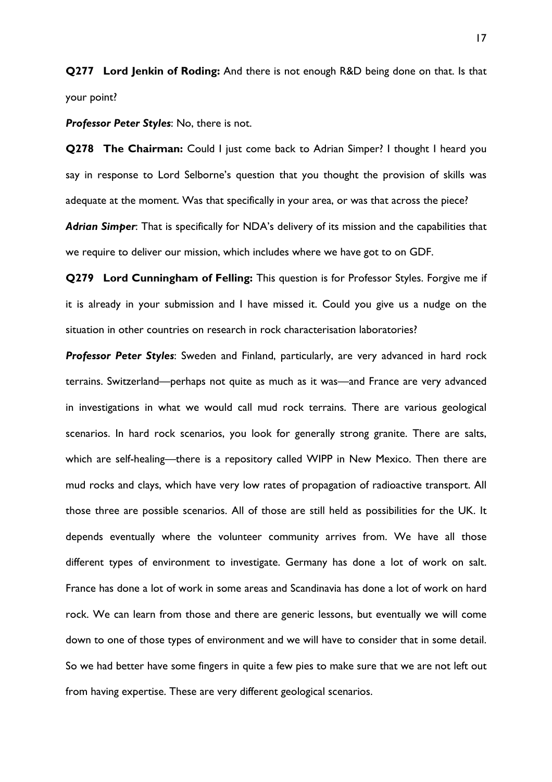**Q277 Lord Jenkin of Roding:** And there is not enough R&D being done on that. Is that your point?

*Professor Peter Styles*: No, there is not.

**Q278 The Chairman:** Could I just come back to Adrian Simper? I thought I heard you say in response to Lord Selborne's question that you thought the provision of skills was adequate at the moment. Was that specifically in your area, or was that across the piece?

*Adrian Simper*: That is specifically for NDA's delivery of its mission and the capabilities that we require to deliver our mission, which includes where we have got to on GDF.

**Q279 Lord Cunningham of Felling:** This question is for Professor Styles. Forgive me if it is already in your submission and I have missed it. Could you give us a nudge on the situation in other countries on research in rock characterisation laboratories?

*Professor Peter Styles*: Sweden and Finland, particularly, are very advanced in hard rock terrains. Switzerland—perhaps not quite as much as it was—and France are very advanced in investigations in what we would call mud rock terrains. There are various geological scenarios. In hard rock scenarios, you look for generally strong granite. There are salts, which are self-healing—there is a repository called WIPP in New Mexico. Then there are mud rocks and clays, which have very low rates of propagation of radioactive transport. All those three are possible scenarios. All of those are still held as possibilities for the UK. It depends eventually where the volunteer community arrives from. We have all those different types of environment to investigate. Germany has done a lot of work on salt. France has done a lot of work in some areas and Scandinavia has done a lot of work on hard rock. We can learn from those and there are generic lessons, but eventually we will come down to one of those types of environment and we will have to consider that in some detail. So we had better have some fingers in quite a few pies to make sure that we are not left out from having expertise. These are very different geological scenarios.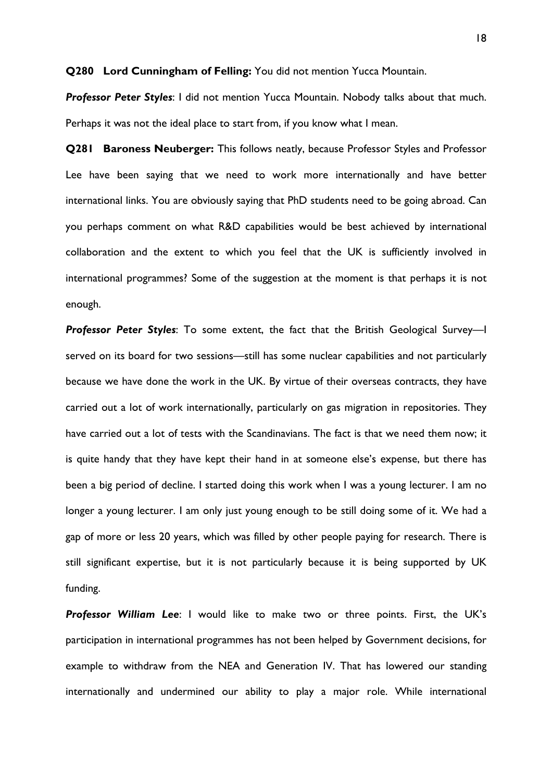**Q280 Lord Cunningham of Felling:** You did not mention Yucca Mountain.

*Professor Peter Styles*: I did not mention Yucca Mountain. Nobody talks about that much. Perhaps it was not the ideal place to start from, if you know what I mean.

**Q281 Baroness Neuberger:** This follows neatly, because Professor Styles and Professor Lee have been saying that we need to work more internationally and have better international links. You are obviously saying that PhD students need to be going abroad. Can you perhaps comment on what R&D capabilities would be best achieved by international collaboration and the extent to which you feel that the UK is sufficiently involved in international programmes? Some of the suggestion at the moment is that perhaps it is not enough.

*Professor Peter Styles*: To some extent, the fact that the British Geological Survey—I served on its board for two sessions—still has some nuclear capabilities and not particularly because we have done the work in the UK. By virtue of their overseas contracts, they have carried out a lot of work internationally, particularly on gas migration in repositories. They have carried out a lot of tests with the Scandinavians. The fact is that we need them now; it is quite handy that they have kept their hand in at someone else's expense, but there has been a big period of decline. I started doing this work when I was a young lecturer. I am no longer a young lecturer. I am only just young enough to be still doing some of it. We had a gap of more or less 20 years, which was filled by other people paying for research. There is still significant expertise, but it is not particularly because it is being supported by UK funding.

*Professor William Lee*: I would like to make two or three points. First, the UK's participation in international programmes has not been helped by Government decisions, for example to withdraw from the NEA and Generation IV. That has lowered our standing internationally and undermined our ability to play a major role. While international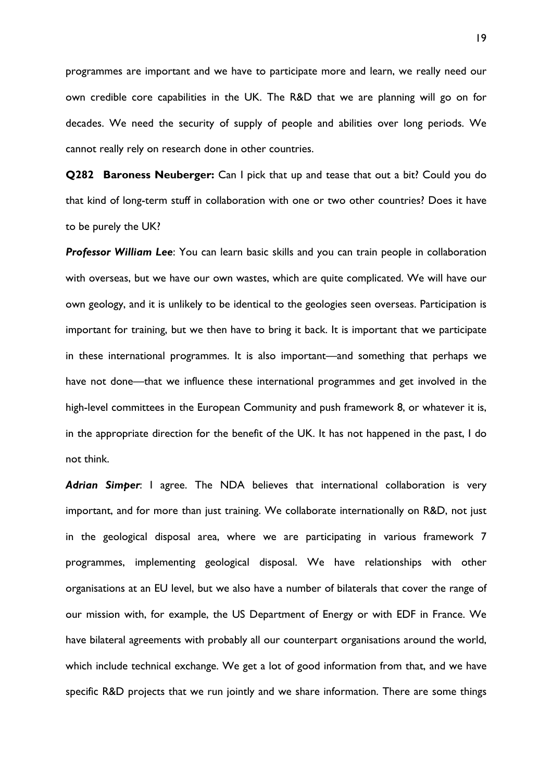programmes are important and we have to participate more and learn, we really need our own credible core capabilities in the UK. The R&D that we are planning will go on for decades. We need the security of supply of people and abilities over long periods. We cannot really rely on research done in other countries.

**Q282 Baroness Neuberger:** Can I pick that up and tease that out a bit? Could you do that kind of long-term stuff in collaboration with one or two other countries? Does it have to be purely the UK?

*Professor William Lee*: You can learn basic skills and you can train people in collaboration with overseas, but we have our own wastes, which are quite complicated. We will have our own geology, and it is unlikely to be identical to the geologies seen overseas. Participation is important for training, but we then have to bring it back. It is important that we participate in these international programmes. It is also important—and something that perhaps we have not done—that we influence these international programmes and get involved in the high-level committees in the European Community and push framework 8, or whatever it is, in the appropriate direction for the benefit of the UK. It has not happened in the past, I do not think.

*Adrian Simper*: I agree. The NDA believes that international collaboration is very important, and for more than just training. We collaborate internationally on R&D, not just in the geological disposal area, where we are participating in various framework 7 programmes, implementing geological disposal. We have relationships with other organisations at an EU level, but we also have a number of bilaterals that cover the range of our mission with, for example, the US Department of Energy or with EDF in France. We have bilateral agreements with probably all our counterpart organisations around the world, which include technical exchange. We get a lot of good information from that, and we have specific R&D projects that we run jointly and we share information. There are some things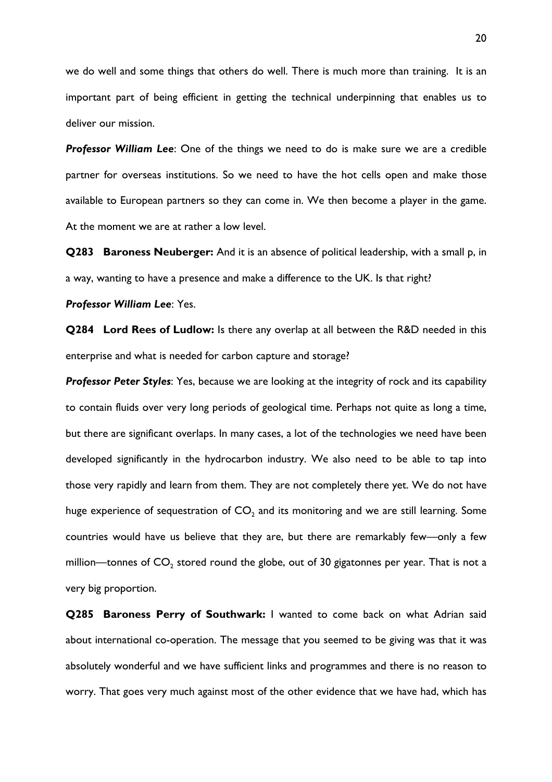we do well and some things that others do well. There is much more than training. It is an important part of being efficient in getting the technical underpinning that enables us to deliver our mission.

*Professor William Lee*: One of the things we need to do is make sure we are a credible partner for overseas institutions. So we need to have the hot cells open and make those available to European partners so they can come in. We then become a player in the game. At the moment we are at rather a low level.

**Q283 Baroness Neuberger:** And it is an absence of political leadership, with a small p, in a way, wanting to have a presence and make a difference to the UK. Is that right?

*Professor William Lee*: Yes.

**Q284 Lord Rees of Ludlow:** Is there any overlap at all between the R&D needed in this enterprise and what is needed for carbon capture and storage?

*Professor Peter Styles*: Yes, because we are looking at the integrity of rock and its capability to contain fluids over very long periods of geological time. Perhaps not quite as long a time, but there are significant overlaps. In many cases, a lot of the technologies we need have been developed significantly in the hydrocarbon industry. We also need to be able to tap into those very rapidly and learn from them. They are not completely there yet. We do not have huge experience of sequestration of  $CO<sub>2</sub>$  and its monitoring and we are still learning. Some countries would have us believe that they are, but there are remarkably few—only a few million—tonnes of  $CO<sub>2</sub>$  stored round the globe, out of 30 gigatonnes per year. That is not a very big proportion.

**Q285 Baroness Perry of Southwark:** I wanted to come back on what Adrian said about international co-operation. The message that you seemed to be giving was that it was absolutely wonderful and we have sufficient links and programmes and there is no reason to worry. That goes very much against most of the other evidence that we have had, which has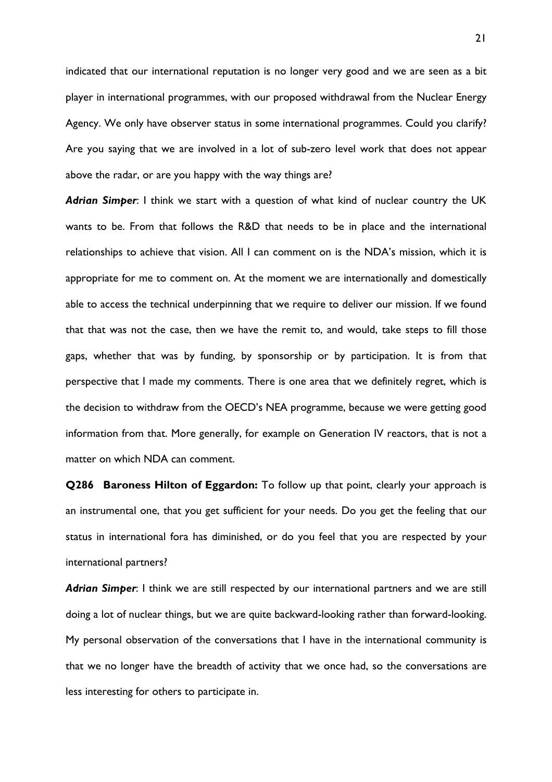indicated that our international reputation is no longer very good and we are seen as a bit player in international programmes, with our proposed withdrawal from the Nuclear Energy Agency. We only have observer status in some international programmes. Could you clarify? Are you saying that we are involved in a lot of sub-zero level work that does not appear above the radar, or are you happy with the way things are?

*Adrian Simper*: I think we start with a question of what kind of nuclear country the UK wants to be. From that follows the R&D that needs to be in place and the international relationships to achieve that vision. All I can comment on is the NDA's mission, which it is appropriate for me to comment on. At the moment we are internationally and domestically able to access the technical underpinning that we require to deliver our mission. If we found that that was not the case, then we have the remit to, and would, take steps to fill those gaps, whether that was by funding, by sponsorship or by participation. It is from that perspective that I made my comments. There is one area that we definitely regret, which is the decision to withdraw from the OECD's NEA programme, because we were getting good information from that. More generally, for example on Generation IV reactors, that is not a matter on which NDA can comment.

**Q286 Baroness Hilton of Eggardon:** To follow up that point, clearly your approach is an instrumental one, that you get sufficient for your needs. Do you get the feeling that our status in international fora has diminished, or do you feel that you are respected by your international partners?

*Adrian Simper*: I think we are still respected by our international partners and we are still doing a lot of nuclear things, but we are quite backward-looking rather than forward-looking. My personal observation of the conversations that I have in the international community is that we no longer have the breadth of activity that we once had, so the conversations are less interesting for others to participate in.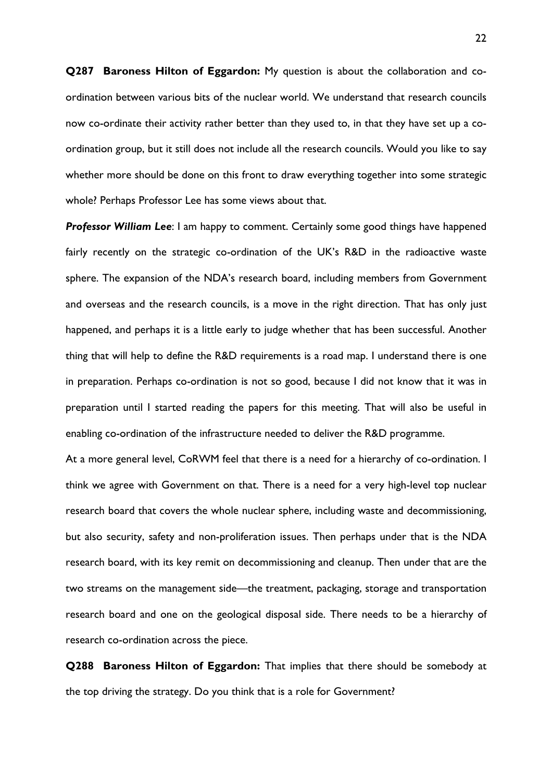**Q287 Baroness Hilton of Eggardon:** My question is about the collaboration and coordination between various bits of the nuclear world. We understand that research councils now co-ordinate their activity rather better than they used to, in that they have set up a coordination group, but it still does not include all the research councils. Would you like to say whether more should be done on this front to draw everything together into some strategic whole? Perhaps Professor Lee has some views about that.

**Professor William Lee:** I am happy to comment. Certainly some good things have happened fairly recently on the strategic co-ordination of the UK's R&D in the radioactive waste sphere. The expansion of the NDA's research board, including members from Government and overseas and the research councils, is a move in the right direction. That has only just happened, and perhaps it is a little early to judge whether that has been successful. Another thing that will help to define the R&D requirements is a road map. I understand there is one in preparation. Perhaps co-ordination is not so good, because I did not know that it was in preparation until I started reading the papers for this meeting. That will also be useful in enabling co-ordination of the infrastructure needed to deliver the R&D programme.

At a more general level, CoRWM feel that there is a need for a hierarchy of co-ordination. I think we agree with Government on that. There is a need for a very high-level top nuclear research board that covers the whole nuclear sphere, including waste and decommissioning, but also security, safety and non-proliferation issues. Then perhaps under that is the NDA research board, with its key remit on decommissioning and cleanup. Then under that are the two streams on the management side—the treatment, packaging, storage and transportation research board and one on the geological disposal side. There needs to be a hierarchy of research co-ordination across the piece.

**Q288 Baroness Hilton of Eggardon:** That implies that there should be somebody at the top driving the strategy. Do you think that is a role for Government?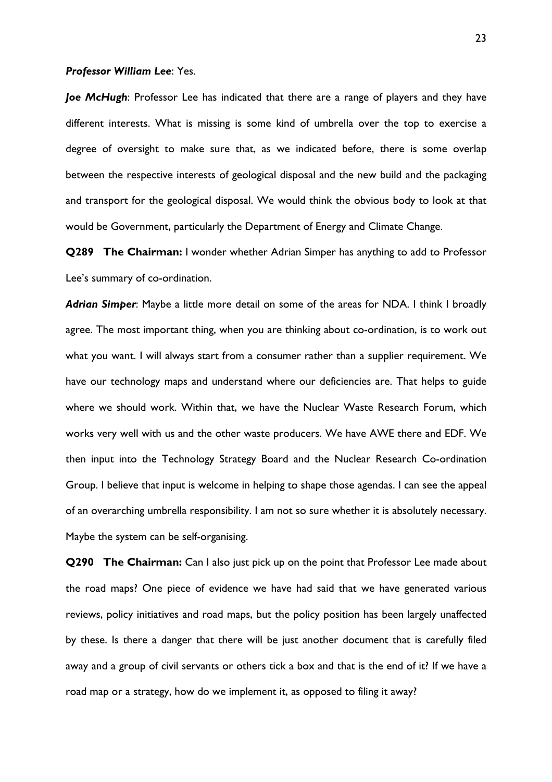#### *Professor William Lee*: Yes.

*Joe McHugh*: Professor Lee has indicated that there are a range of players and they have different interests. What is missing is some kind of umbrella over the top to exercise a degree of oversight to make sure that, as we indicated before, there is some overlap between the respective interests of geological disposal and the new build and the packaging and transport for the geological disposal. We would think the obvious body to look at that would be Government, particularly the Department of Energy and Climate Change.

**Q289 The Chairman:** I wonder whether Adrian Simper has anything to add to Professor Lee's summary of co-ordination.

*Adrian Simper*: Maybe a little more detail on some of the areas for NDA. I think I broadly agree. The most important thing, when you are thinking about co-ordination, is to work out what you want. I will always start from a consumer rather than a supplier requirement. We have our technology maps and understand where our deficiencies are. That helps to guide where we should work. Within that, we have the Nuclear Waste Research Forum, which works very well with us and the other waste producers. We have AWE there and EDF. We then input into the Technology Strategy Board and the Nuclear Research Co-ordination Group. I believe that input is welcome in helping to shape those agendas. I can see the appeal of an overarching umbrella responsibility. I am not so sure whether it is absolutely necessary. Maybe the system can be self-organising.

**Q290 The Chairman:** Can I also just pick up on the point that Professor Lee made about the road maps? One piece of evidence we have had said that we have generated various reviews, policy initiatives and road maps, but the policy position has been largely unaffected by these. Is there a danger that there will be just another document that is carefully filed away and a group of civil servants or others tick a box and that is the end of it? If we have a road map or a strategy, how do we implement it, as opposed to filing it away?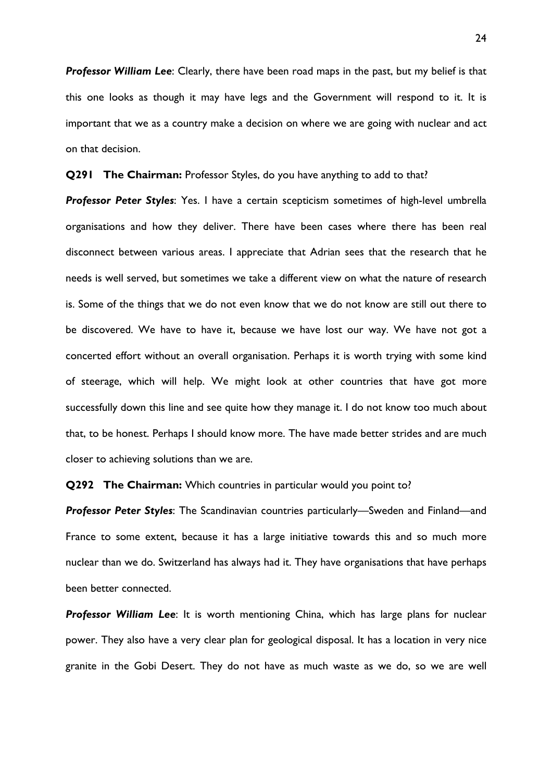*Professor William Lee*: Clearly, there have been road maps in the past, but my belief is that this one looks as though it may have legs and the Government will respond to it. It is important that we as a country make a decision on where we are going with nuclear and act on that decision.

**Q291 The Chairman:** Professor Styles, do you have anything to add to that?

*Professor Peter Styles*: Yes. I have a certain scepticism sometimes of high-level umbrella organisations and how they deliver. There have been cases where there has been real disconnect between various areas. I appreciate that Adrian sees that the research that he needs is well served, but sometimes we take a different view on what the nature of research is. Some of the things that we do not even know that we do not know are still out there to be discovered. We have to have it, because we have lost our way. We have not got a concerted effort without an overall organisation. Perhaps it is worth trying with some kind of steerage, which will help. We might look at other countries that have got more successfully down this line and see quite how they manage it. I do not know too much about that, to be honest. Perhaps I should know more. The have made better strides and are much closer to achieving solutions than we are.

**Q292 The Chairman:** Which countries in particular would you point to?

*Professor Peter Styles*: The Scandinavian countries particularly—Sweden and Finland—and France to some extent, because it has a large initiative towards this and so much more nuclear than we do. Switzerland has always had it. They have organisations that have perhaps been better connected.

*Professor William Lee*: It is worth mentioning China, which has large plans for nuclear power. They also have a very clear plan for geological disposal. It has a location in very nice granite in the Gobi Desert. They do not have as much waste as we do, so we are well